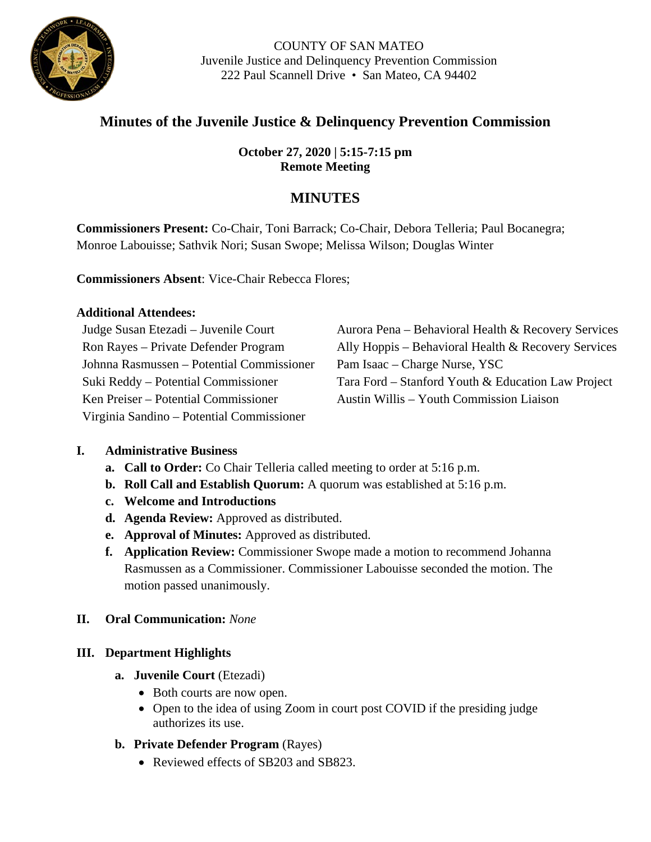

COUNTY OF SAN MATEO Juvenile Justice and Delinquency Prevention Commission 222 Paul Scannell Drive • San Mateo, CA 94402

# **Minutes of the Juvenile Justice & Delinquency Prevention Commission**

# **October 27, 2020 | 5:15-7:15 pm Remote Meeting**

# **MINUTES**

**Commissioners Present:** Co-Chair, Toni Barrack; Co-Chair, Debora Telleria; Paul Bocanegra; Monroe Labouisse; Sathvik Nori; Susan Swope; Melissa Wilson; Douglas Winter

**Commissioners Absent**: Vice-Chair Rebecca Flores;

## **Additional Attendees:**

Johnna Rasmussen – Potential Commissioner Pam Isaac – Charge Nurse, YSC Ken Preiser – Potential Commissioner Austin Willis – Youth Commission Liaison Virginia Sandino – Potential Commissioner

Judge Susan Etezadi – Juvenile Court Aurora Pena – Behavioral Health & Recovery Services Ron Rayes – Private Defender Program Ally Hoppis – Behavioral Health & Recovery Services Suki Reddy – Potential Commissioner Tara Ford – Stanford Youth & Education Law Project

# **I. Administrative Business**

- **a. Call to Order:** Co Chair Telleria called meeting to order at 5:16 p.m.
- **b. Roll Call and Establish Quorum:** A quorum was established at 5:16 p.m.
- **c. Welcome and Introductions**
- **d. Agenda Review:** Approved as distributed.
- **e. Approval of Minutes:** Approved as distributed.
- **f. Application Review:** Commissioner Swope made a motion to recommend Johanna Rasmussen as a Commissioner. Commissioner Labouisse seconded the motion. The motion passed unanimously.
- **II. Oral Communication:** *None*

# **III. Department Highlights**

- **a. Juvenile Court** (Etezadi)
	- Both courts are now open.
	- Open to the idea of using Zoom in court post COVID if the presiding judge authorizes its use.
- **b. Private Defender Program** (Rayes)
	- Reviewed effects of SB203 and SB823.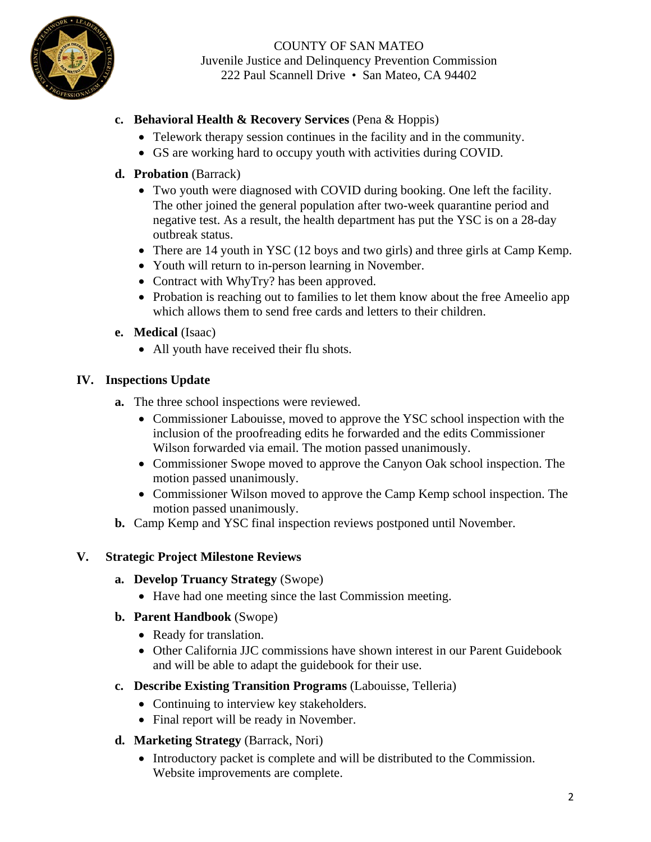

COUNTY OF SAN MATEO Juvenile Justice and Delinquency Prevention Commission 222 Paul Scannell Drive • San Mateo, CA 94402

## **c. Behavioral Health & Recovery Services** (Pena & Hoppis)

- Telework therapy session continues in the facility and in the community.
- GS are working hard to occupy youth with activities during COVID.

#### **d. Probation** (Barrack)

- Two youth were diagnosed with COVID during booking. One left the facility. The other joined the general population after two-week quarantine period and negative test. As a result, the health department has put the YSC is on a 28-day outbreak status.
- There are 14 youth in YSC (12 boys and two girls) and three girls at Camp Kemp.
- Youth will return to in-person learning in November.
- Contract with WhyTry? has been approved.
- Probation is reaching out to families to let them know about the free Ameelio app which allows them to send free cards and letters to their children.
- **e. Medical** (Isaac)
	- All youth have received their flu shots.

#### **IV. Inspections Update**

- **a.** The three school inspections were reviewed.
	- Commissioner Labouisse, moved to approve the YSC school inspection with the inclusion of the proofreading edits he forwarded and the edits Commissioner Wilson forwarded via email. The motion passed unanimously.
	- Commissioner Swope moved to approve the Canyon Oak school inspection. The motion passed unanimously.
	- Commissioner Wilson moved to approve the Camp Kemp school inspection. The motion passed unanimously.
- **b.** Camp Kemp and YSC final inspection reviews postponed until November.

#### **V. Strategic Project Milestone Reviews**

- **a. Develop Truancy Strategy** (Swope)
	- Have had one meeting since the last Commission meeting.
- **b. Parent Handbook** (Swope)
	- Ready for translation.
	- Other California JJC commissions have shown interest in our Parent Guidebook and will be able to adapt the guidebook for their use.
- **c. Describe Existing Transition Programs** (Labouisse, Telleria)
	- Continuing to interview key stakeholders.
	- Final report will be ready in November.
- **d. Marketing Strategy** (Barrack, Nori)
	- Introductory packet is complete and will be distributed to the Commission. Website improvements are complete.